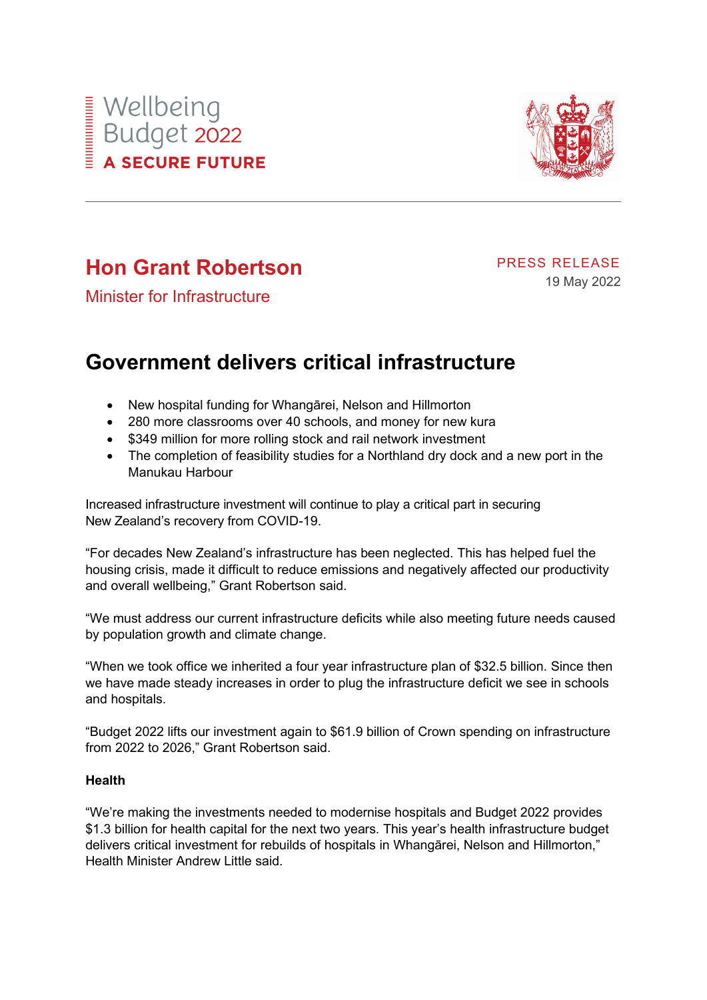



# **Hon Grant Robertson**

PRESS RELEASE 19 May 2022

Minister for Infrastructure

# **Government delivers critical infrastructure**

- New hospital funding for Whangārei, Nelson and Hillmorton
- 280 more classrooms over 40 schools, and money for new kura
- \$349 million for more rolling stock and rail network investment
- The completion of feasibility studies for a Northland dry dock and a new port in the Manukau Harbour

Increased infrastructure investment will continue to play a critical part in securing New Zealand's recovery from COVID-19.

"For decades New Zealand's infrastructure has been neglected. This has helped fuel the housing crisis, made it difficult to reduce emissions and negatively affected our productivity and overall wellbeing," Grant Robertson said.

"We must address our current infrastructure deficits while also meeting future needs caused by population growth and climate change.

"When we took office we inherited a four year infrastructure plan of \$32.5 billion. Since then we have made steady increases in order to plug the infrastructure deficit we see in schools and hospitals.

"Budget 2022 lifts our investment again to \$61.9 billion of Crown spending on infrastructure from 2022 to 2026," Grant Robertson said.

## **Health**

"We're making the investments needed to modernise hospitals and Budget 2022 provides \$1.3 billion for health capital for the next two years. This year's health infrastructure budget delivers critical investment for rebuilds of hospitals in Whangārei, Nelson and Hillmorton," Health Minister Andrew Little said.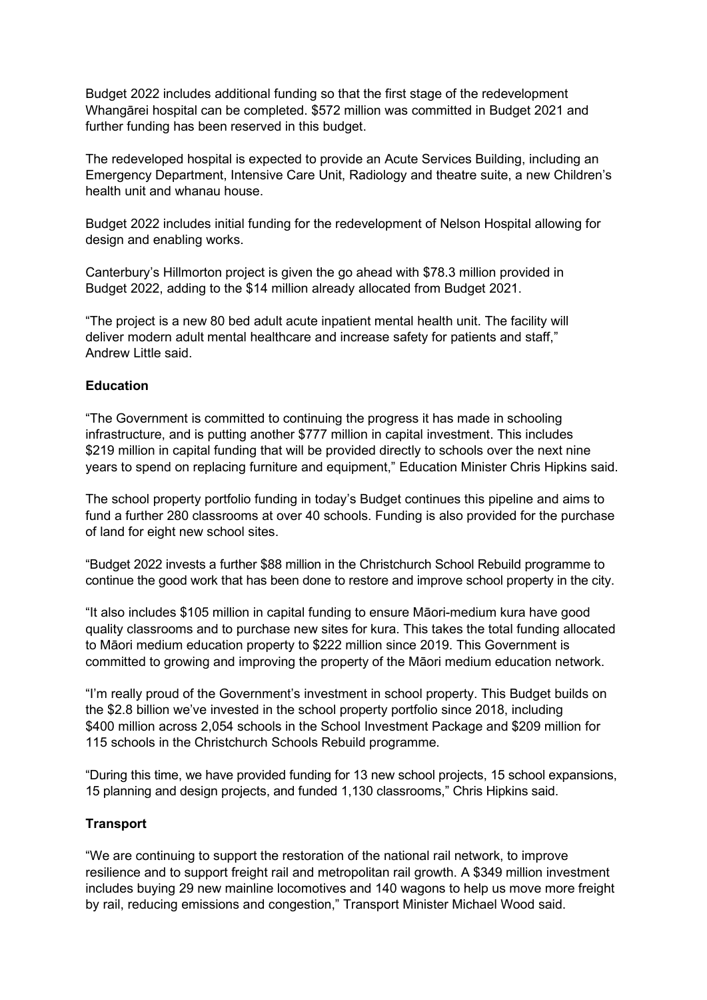Budget 2022 includes additional funding so that the first stage of the redevelopment Whangārei hospital can be completed. \$572 million was committed in Budget 2021 and further funding has been reserved in this budget.

The redeveloped hospital is expected to provide an Acute Services Building, including an Emergency Department, Intensive Care Unit, Radiology and theatre suite, a new Children's health unit and whanau house.

Budget 2022 includes initial funding for the redevelopment of Nelson Hospital allowing for design and enabling works.

Canterbury's Hillmorton project is given the go ahead with \$78.3 million provided in Budget 2022, adding to the \$14 million already allocated from Budget 2021.

"The project is a new 80 bed adult acute inpatient mental health unit. The facility will deliver modern adult mental healthcare and increase safety for patients and staff," Andrew Little said.

# **Education**

"The Government is committed to continuing the progress it has made in schooling infrastructure, and is putting another \$777 million in capital investment. This includes \$219 million in capital funding that will be provided directly to schools over the next nine years to spend on replacing furniture and equipment," Education Minister Chris Hipkins said.

The school property portfolio funding in today's Budget continues this pipeline and aims to fund a further 280 classrooms at over 40 schools. Funding is also provided for the purchase of land for eight new school sites.

"Budget 2022 invests a further \$88 million in the Christchurch School Rebuild programme to continue the good work that has been done to restore and improve school property in the city.

"It also includes \$105 million in capital funding to ensure Māori-medium kura have good quality classrooms and to purchase new sites for kura. This takes the total funding allocated to Māori medium education property to \$222 million since 2019. This Government is committed to growing and improving the property of the Māori medium education network.

"I'm really proud of the Government's investment in school property. This Budget builds on the \$2.8 billion we've invested in the school property portfolio since 2018, including \$400 million across 2,054 schools in the School Investment Package and \$209 million for 115 schools in the Christchurch Schools Rebuild programme.

"During this time, we have provided funding for 13 new school projects, 15 school expansions, 15 planning and design projects, and funded 1,130 classrooms," Chris Hipkins said.

## **Transport**

"We are continuing to support the restoration of the national rail network, to improve resilience and to support freight rail and metropolitan rail growth. A \$349 million investment includes buying 29 new mainline locomotives and 140 wagons to help us move more freight by rail, reducing emissions and congestion," Transport Minister Michael Wood said.